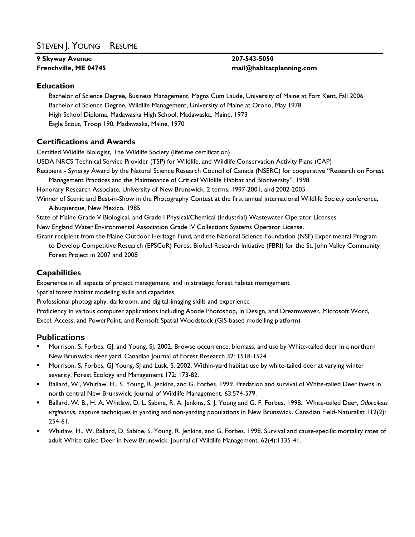## STEVEN J. YOUNG RESUME

# **9 Skyway Avenue 207-543-5050**

# **Frenchville, ME 04745 mail@habitatplanning.com**

#### **Education**

Bachelor of Science Degree, Business Management, Magna Cum Laude, University of Maine at Fort Kent, Fall 2006 Bachelor of Science Degree, Wildlife Management, University of Maine at Orono, May 1978 High School Diploma, Madawaska High School, Madawaska, Maine, 1973 Eagle Scout, Troop 190, Madawaska, Maine, 1970

### **Certifications and Awards**

Certified Wildlife Biologist, The Wildlife Society (lifetime certification)

USDA NRCS Technical Service Provider (TSP) for Wildlife, and Wildlife Conservation Activity Plans (CAP)

Recipient - Synergy Award by the Natural Science Research Council of Canada (NSERC) for cooperative "Research on Forest Management Practices and the Maintenance of Critical Wildlife Habitat and Biodiversity", 1998

Honorary Research Associate, University of New Brunswick, 2 terms, 1997-2001, and 2002-2005

Winner of Scenic and Best-in-Show in the Photography Contest at the first annual international Wildlife Society conference, Albuquerque, New Mexico, 1985

State of Maine Grade V Biological, and Grade I Physical/Chemical (Industrial) Wastewater Operator Licenses New England Water Environmental Association Grade IV Collections Systems Operator License.

Grant recipient from the Maine Outdoor Heritage Fund, and the National Science Foundation (NSF) Experimental Program to Develop Competitive Research (EPSCoR) Forest Biofuel Research Initiative (FBRI) for the St. John Valley Community Forest Project in 2007 and 2008

### **Capabilities**

Experience in all aspects of project management, and in strategic forest habitat management

Spatial forest habitat modeling skills and capacities

Professional photography, darkroom, and digital-imaging skills and experience

Proficiency in various computer applications including Abode Photoshop, In Design, and Dreamweaver, Microsoft Word, Excel, Access, and PowerPoint, and Remsoft Spatial Woodstock (GIS-based modelling platform)

#### **Publications**

- Morrison, S, Forbes, GJ, and Young, SJ. 2002. Browse occurrence, biomass, and use by White-tailed deer in a northern New Brunswick deer yard. Canadian Journal of Forest Research 32: 1518-1524.
- Morrison, S, Forbes, GJ Young, SJ and Lusk, S. 2002. Within-yard habitat use by white-tailed deer at varying winter severity. Forest Ecology and Management 172: 173-82.
- Ballard, W., Whitlaw, H., S. Young, R. Jenkins, and G. Forbes. 1999. Predation and survival of White-tailed Deer fawns in north central New Brunswick. Journal of Wildlife Management. 63:574-579.
- Ballard, W. B., H. A. Whitlaw, D. L. Sabine, R. A. Jenkins, S. J. Young and G. F. Forbes**.** 1998. White-tailed Deer, *Odocoileus virginianus*, capture techniques in yarding and non-yarding populations in New Brunswick. Canadian Field-Naturalist 112(2): 254-61.
- Whitlaw, H., W. Ballard, D. Sabine, S. Young, R. Jenkins, and G. Forbes. 1998. Survival and cause-specific mortality rates of adult White-tailed Deer in New Brunswick. Journal of Wildlife Management. 62(4):1335-41.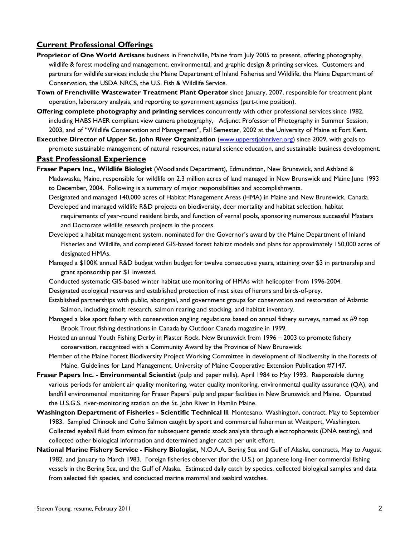#### **Current Professional Offerings**

- **Proprietor of One World Artisans** business in Frenchville, Maine from July 2005 to present, offering photography, wildlife & forest modeling and management, environmental, and graphic design & printing services. Customers and partners for wildlife services include the Maine Department of Inland Fisheries and Wildlife, the Maine Department of Conservation, the USDA NRCS, the U.S. Fish & Wildlife Service.
- **Town of Frenchville Wastewater Treatment Plant Operator** since January, 2007, responsible for treatment plant operation, laboratory analysis, and reporting to government agencies (part-time position).
- **Offering complete photography and printing services** concurrently with other professional services since 1982, including HABS HAER compliant view camera photography, Adjunct Professor of Photography in Summer Session, 2003, and of "Wildlife Conservation and Management", Fall Semester, 2002 at the University of Maine at Fort Kent.
- **Executive Director of Upper St. John River Organization** [\(www.upperstjohnriver.org](http://www.upperstjohnriver.org/)) since 2009, with goals to promote sustainable management of natural resources, natural science education, and sustainable business development.

#### **Past Professional Experience**

**Fraser Papers Inc., Wildlife Biologist** (Woodlands Department), Edmundston, New Brunswick, and Ashland & Madawaska, Maine, responsible for wildlife on 2.3 million acres of land managed in New Brunswick and Maine June 1993 to December, 2004. Following is a summary of major responsibilities and accomplishments.

Designated and managed 140,000 acres of Habitat Management Areas (HMA) in Maine and New Brunswick, Canada. Developed and managed wildlife R&D projects on biodiversity, deer mortality and habitat selection, habitat

- requirements of year-round resident birds, and function of vernal pools, sponsoring numerous successful Masters and Doctorate wildlife research projects in the process.
- Developed a habitat management system, nominated for the Governor's award by the Maine Department of Inland Fisheries and Wildlife, and completed GIS-based forest habitat models and plans for approximately 150,000 acres of designated HMAs.
- Managed a \$100K annual R&D budget within budget for twelve consecutive years, attaining over \$3 in partnership and grant sponsorship per \$1 invested.
- Conducted systematic GIS-based winter habitat use monitoring of HMAs with helicopter from 1996-2004.
- Designated ecological reserves and established protection of nest sites of herons and birds-of-prey.
- Established partnerships with public, aboriginal, and government groups for conservation and restoration of Atlantic Salmon, including smolt research, salmon rearing and stocking, and habitat inventory.
- Managed a lake sport fishery with conservation angling regulations based on annual fishery surveys, named as #9 top Brook Trout fishing destinations in Canada by Outdoor Canada magazine in 1999.
- Hosted an annual Youth Fishing Derby in Plaster Rock, New Brunswick from 1996 2003 to promote fishery conservation, recognized with a Community Award by the Province of New Brunswick.
- Member of the Maine Forest Biodiversity Project Working Committee in development of Biodiversity in the Forests of Maine, Guidelines for Land Management, University of Maine Cooperative Extension Publication #7147.
- **Fraser Papers Inc. Environmental Scientist** (pulp and paper mills), April 1984 to May 1993. Responsible during various periods for ambient air quality monitoring, water quality monitoring, environmental quality assurance (QA), and landfill environmental monitoring for Fraser Papers' pulp and paper facilities in New Brunswick and Maine. Operated the U.S.G.S. river-monitoring station on the St. John River in Hamlin Maine.
- **Washington Department of Fisheries Scientific Technical II**, Montesano, Washington, contract, May to September 1983. Sampled Chinook and Coho Salmon caught by sport and commercial fishermen at Westport, Washington. Collected eyeball fluid from salmon for subsequent genetic stock analysis through electrophoresis (DNA testing), and collected other biological information and determined angler catch per unit effort.
- **National Marine Fishery Service Fishery Biologist,** N.O.A.A. Bering Sea and Gulf of Alaska, contracts, May to August 1982, and January to March 1983. Foreign fisheries observer (for the U.S.) on Japanese long-liner commercial fishing vessels in the Bering Sea, and the Gulf of Alaska. Estimated daily catch by species, collected biological samples and data from selected fish species, and conducted marine mammal and seabird watches.